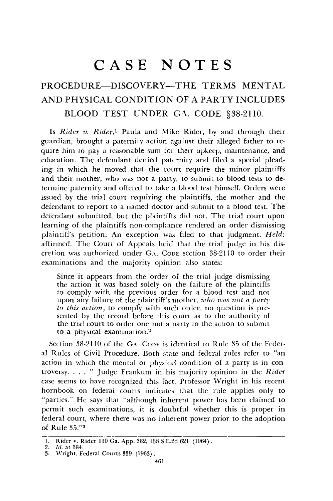# **CASE NOTES**

## PROCEDURE-DISCOVERY-THE TERMS **MENTAL AND** PHYSICAL **CONDITION** OF **A** PARTY **INCLUDES** BLOOD **TEST UNDER GA. CODE §38-2110.**

Is *Rider v. Rider,1* Paula and Mike Rider, by and through their guardian, brought a paternity action against their alleged father to require him to pay a reasonable sum for their upkeep, maintenance, and education. The defendant denied paternity and filed a special pleading in which he moved that the court require the minor plaintiffs and their mother, who was not a party, to submit to blood tests to determine paternity and offered to take a blood test himself. Orders were issued by the trial court requiring the plaintiffs, the mother and the defendant to report to a naned doctor and submit to a blood test. The defendant submitted, but the plaintiffs did not. The trial court upon learning of the plaintiffs non-compliance rendered an order dismissing plaintiff's petition. An exception was filed to that judgment. *Held:* affirmed. The Court of Appeals held that the trial judge in his discretion was authorized under GA. CODE section 38-2110 to order their examinations and the majority opinion also states:

Since it appears from the order of the trial judge dismissing the action it was based solely on the failure of the plaintiffs to comply with the previous order for a blood test and not upon any failure of the plaintiff's mother, *who was not a part), to this action,* to comply with such order, no question is presented by the record before this court as to the authority of the trial court to order one not a party to the action to submit to a physical examination.<sup>2</sup>

Section 38-2110 of the GA. CODE is identical to Rule 35 of the Federal Rules of Civil Procedure. Both state and federal rules refer to "an action in which the mental or physical condition of a party is in controversy **.......** Judge Frankum in his majority opinion in the *Rider* case seems to have recognized this fact. Professor Wright in his recent hornbook on federal courts indicates that the rule applies only to "parties." He says that "although inherent power has been claimed to permit such examinations, it is doubtful whether this is proper in federal court, where there was no inherent power prior to the adoption of Rule **35."a**

<sup>1.</sup> Rider v. Rider 110 Ga. App. 382, 138 S.E.2d 621 (1964).

<sup>2.</sup> *Id.* **at** 384.

<sup>3.</sup> Wright, Federal Courts 339 (1963).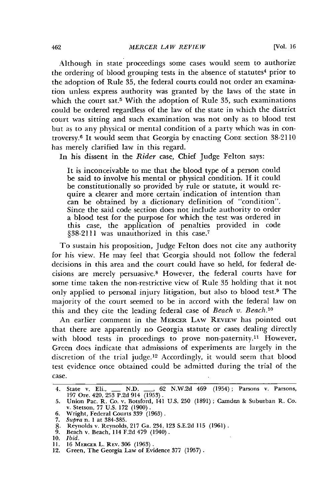Although in state proceedings some cases would seem to authorize the ordering of blood grouping tests in the absence of statutes<sup>4</sup> prior to the adoption of Rule 35, the federal courts could not order an examination unless express authority was granted by the laws of the state in which the court sat.<sup>5</sup> With the adoption of Rule 35, such examinations could be ordered regardless of the law of the state in which the district court was sitting and such examination was not only as to blood test but as to any physical or mental condition of a party which was in controversy.6 It would seem that Georgia by enacting CODE section 38-2110 has merely clarified law in this regard.

In his dissent in the *Rider* case, Chief Judge Felton says:

It is inconceivable to me that the blood type of a person could be said to involve his mental or physical condition. If it could be constitutionally so provided by rule or statute, it would require a clearer and more certain indication of intention than can be obtained by a dictionary definition of "condition". Since the said code section does not include authority to order a blood test for the purpose for which the test was ordered in this case, the application of penalties provided in code §38-2111 was unauthorized in this case.<sup>7</sup>

To sustain his proposition, Judge Felton does not cite any authority for his view. He may feel that 'Georgia should not follow the federal decisions in this area and the court could have so held, for federal decisions are merely persuasive.8 However, the federal courts have for some time taken the non-restrictive view of Rule **35** holding that it not only applied to personal injury litigation, but also to blood test.9 The majority of the court seemed to be in accord with the federal law on this and they cite the leading federal case of *Beach v. Beach.10*

An earlier comment in the MERcER LAW REVIEW has pointed out that there are apparently no Georgia statute or cases dealing directly with blood tests in procedings to prove non-paternity.<sup>11</sup> However, Green does indicate that admissions of experiments are largely in the discretion of the trial judge.12 Accordingly, it would seem that blood test evidence once obtained could be admitted during the trial of the case.

<sup>4.</sup> State v. Eli., \_\_ N.D. \_\_, 62 N.W.2d 469 (1954); Parsons v. Parsons, 197 Ore. 420, 253 P.2d 914 (1953).

<sup>5.</sup> Union Pac. R. Co. v. Botsford, 141 U.S. 250 (1891); Camden & Suburban R. Co. v. Stetson, 77 U.S. 172 (1900).

<sup>6.</sup> Wright, Federal Courts 339 (1963). 7. *Supra* n. 1 at 384-385.

<sup>8.</sup> Reynolds v. Reynolds, 217 Ga. 234, 123 S.E.2d 115 (1961) **.** 9. Beach v. Beach, 114 F.2d 479 (1940).

<sup>10.</sup> *Ibid.*

<sup>11. 16</sup> MERCER L. REv. 306 (1963). 12. Green, The Georgia Law of Evidence 377 (1957).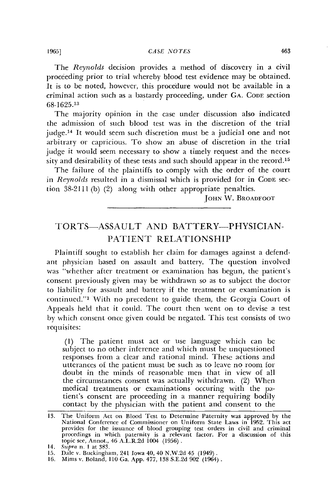The *Reynolds* decision provides a method of discovery in a civil proceeding prior to trial whereby blood test evidence may be obtained. It is to be noted, however, this procedure would not be available in a criminal action such as a bastardy proceeding, under **GA. CODE** section 68-1625.13

The majority opinion in the case under discussion also indicated the admission of such blood test was in the discretion of the trial judge.14 It would seem such discretion must be a judicial one and not arbitrary or capricious. To show an abuse of discretion in the trial judge it would seem necessary to show a timely request and the necessity and desirability of these tests and such should appear in the record.<sup>15</sup>

The failure of the plaintiffs to comply with the order of the court in *Reynolds* resulted in a dismissal which is provided for in **CODE** section 38-2111 (b) (2) along with other appropriate penalties.

JOHN W. **BROADFOOT**

### TORTS-ASSAULT AND BATTERY-PHYSICIAN-PATIENT RELATIONSHIP

Plaintiff sought to establish her claim for damages against a defendant physician based on assault and battery. The question involved was "whether after treatment or examination has begun, the patient's consent previously given may be withdrawn so as to subject the doctor to liability for assault and battery if the treatment or examination is continued."' With no precedent to guide them, the Georgia Court of Appeals held that it could. The court then went on to devise a test by which consent once given could be negated. This test consists of two requisites:

**(1)** The patient must act or use language which can be subject to no other inference and which must be unquestioned responses from a clear and rational mind. These actions and utterances of the patient must be such as to leave no room for doubt in the minds of reasonable men that in view of all the circumstances consent was actually withdrawn. (2) When medical treatments or examinations occuring with the patient's consent are proceeding in a manner requiring bodily contact by the physician with the patient and consent to the

**<sup>13.</sup>** The Uniform Act on Blood Test to Determine Paternity was approved by the National Conference of Commissioner on Uniform State Laws in 1952. This act<br>provides for the issuance of blood grouping test orders in civil and criminal<br>procedings in which paternity is a relevant factor. For a discussion **1001 1011 1011 1021 1031 104 114 114 114 116 116 116 116 116 116 116 116 116 116 116 116 116 116 116 116 116 116 116 116 116 116 116 116 116 116 116**

**<sup>15.</sup>** Dale v. Buckingham, 241 Iowa 40, 40 N.W.2d 45 (1949). **16.** Mims v. Boland, **110** Ga. App. **477,** 138 S.E.2d **902** (1964).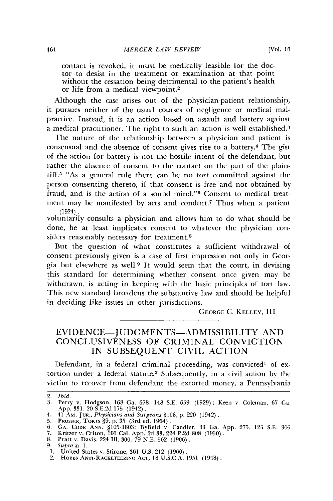contact is revoked, it must be medically feasible for the doctor to desist in the treatment or examination at that point without the cessation being detrimental to the patient's health or life from a medical viewpoint.<sup>2</sup>

Although the case arises out of the physician-patient relationship, it pursues neither of the usual courses of negligence or medical malpractice. Instead, it is an action based on assault and battery against a medical practitioner. The right to such an action is well established.<sup>3</sup>

The nature of the relationship between a physician and patient is consensual and the absence of consent gives rise to a battery.4 The gist of the action for battery is not the hostile intent of the defendant, but rather the absence of consent to the contact on the part of the plaintiff.<sup>5</sup> "As a general rule there can be no tort committed against the person consenting thereto, if that consent is free and not obtained by fraud, and is the action of a sound mind."<sup>6</sup> Consent to medical treatment may be manifested by acts and conduct.<sup>7</sup> Thus when a patient (1924).

voluntarily consults a physician and allows him to do what should be done, he at least implicates consent to whatever the physician considers reasonably necessary for treatment.<sup>8</sup>

But the question of what constitutes a sufficient withdrawal of consent previously given is a case of first impression not only in Georgia but elsewhere as well.<sup>9</sup> It would seem that the court, in devising this standard for determining whether consent once given may be withdrawn, is acting in keeping with the basic principles of tort law. This new standard broadens the substantive law and should be helpful in deciding like issues in other jurisdictions.

GEORGE C. **KELLEY,** III

#### EVIDENCE-JUDGMENTS-ADMISSIBILITY **AND** CONCLUSIVENESS OF CRIMINAL CONVICTION IN SUBSEQUENT CIVIL ACTION

Defendant, in a federal criminal proceeding, was convicted' of extortion under a federal statute.<sup>2</sup> Subsequently, in a civil action by the victim to recover from defendant the extorted money, a Pennsylvania

2. *Ibid.*

<sup>3.</sup> Perry v. Hodgson, **168** Ga. **678,** 148 **S.E. 659** (1929); Keen v. Coleman, **67** Ga. App. 331, 20 S.E.2d 175 (1942).

<sup>4. 41</sup> AM. JUR., *Physicians and Surgeons* §108, p. 220 (1942).<br>5. PROSSER, TORTS §9, p. 35 (3rd ed. 1964).<br>6. GA. CODE ANN. §105-1803; Byfield v. Candler, 33 Ga. App. 275, 125 S.E. 905<br>7. Kritzer v. Criton, 101 Cal. App. 2

**<sup>9.</sup>** *Supra* n. 1.

**<sup>1.</sup>** United States v. Stirone, **361 U.S.** 212 **(1960).** 2. HOBBS **ANTI-RAcKETEERING** AcT, **18 U.S.C.A. 1951** (1948).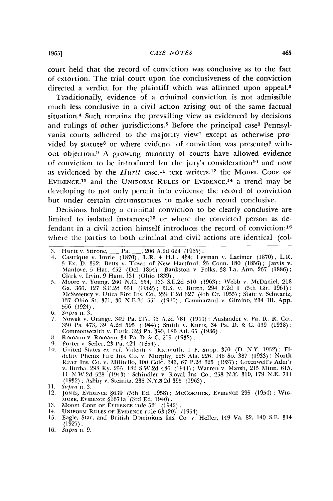court held that the record of conviction was conclusive as to the fact of extortion. The trial court upon the conclusiveness of the conviction directed a verdict for the plaintiff which was affirmed upon appeal.8

Traditionally, evidence of a criminal conviction is not admissible much less conclusive in a civil action arising out of the same factual situation. 4 Such remains the prevailing view as evidenced **by** decisions and rulings of other jurisdictions.<sup>5</sup> Before the principal case<sup>6</sup> Pennsylvania courts adhered to the majority view<sup>7</sup> except as otherwise provided by statute<sup>8</sup> or where evidence of conviction was presented without objection.<sup>9</sup> A growing minority of courts have allowed evidence of conviction to be introduced for the jury's consideration<sup>10</sup> and now as evidenced by the *Hurtt* case,<sup>11</sup> text writers,<sup>12</sup> the MODEL CODE OF EVIDENCE,<sup>13</sup> and the UNIFORM RULES OF EVIDENCE,<sup>14</sup> a trend may be developing to not only permit into evidence the record of conviction but under certain circumstances to make such record conclusive.

Decisions holding a criminal conviction to be clearly conclusive are limited to isolated instances;<sup>15</sup> or where the convicted person as defendant in a civil action himself introduces the record of conviction;<sup>16</sup> where the parties to both criminal and civil actions are identical (col-

- 4. Castrique v. Imrie (1870), L.R. 4 H.L. 434; Leyman v. Latimer (1870), L.R. 3 Ex. D. 352; Betts v. Town of New Hartford, 25 Conn. 180 (1856); Jarvis v. Manlove, 5 Har. 452 (Del. 1854); Bankston v. Folks, 38 La. Ann. 267
- 5. Moore v. Young, 260 N.C. 654, 133 S.E.2d 510 (1963); Webb v. McDaniel, 218 Ga. 366, 127 S.E.2d 551 (1962); U.S. v. Burch, 294 F.2d 1 (5th Cir. 1961)<br>McSweeney v. Utica Fire Ins. Co., 224 F.2d 327 (4th Cr. 1955); State v 137 Ohio St. 371, 30 N.E.2d 551 (1940); Cammarand v. Gimino, 234 **I11.** App. 556 (1924).
- 6. *Supra* n. 3.
- 7. Nowak v. Orange, 349 Pa. 217, 36 A.2d 781 (1944); Auslander v. Pa. R. R. Co., 350 Pa. 473, 39 A.2d 595 (1944) ; Smith *v.* Kurtz, 34 Pa. D. **&** C. 439 (1938) Commonwealth v. Funk, 323 Pa. 390, 186 Atl. 65 (1936).
- 8. Romano v. Romano. 34 Pa. D. **&** C. 215 (1938).
- 
- 9. Porter v. Seiler, 23 Pa. 424 (1854).<br>
10. United States ex rel. Valenti v. Karmuth, 1 F. Supp. 370 (D. N.Y. 1932); Fidelity Phenix Fire Ins. Co. v. Murphy, 226 Ala. 226, 146 So. 387 (1933); North River" is. Co. **v.** Militcllo, 100 Colo. 343, 67 1'.2d 625 (1937) ; Greenwell's Adm'r **v.** Burha, 298 **Ky.** 255. 182 S.W.2d 436 (1944) ; Warren v. Marsh, 215 Minn. 615, **I1** N.W.2d 528 (1943) ; Schindler v. Royal Ins. Co., 258 N.Y. 310, 179 N.E. 711 (1932) ; Ashby v. Steinitz, 238 N.Y.S.2d 395 (1963).
- 11. *Snpra* n. 3.
- 12. JONES, EVIDENCE §639 (5th Ed. 1958) ; McCORMICK, EVIDENCE 295 (1954) ; WIG-**MORF, EVIDENCE** §1671a (3rd Ed. 1940).
- 13. **IODEL CODE** OF **EVIDENCE** rule 521 (1942).
- 
- 14. UNIFORM **RULES** OF **EVIDENCF rule** 63 (20) (1954) **.** 15. Eagle, Star, and British Dominions Ins. Co. v. Heller, 149 Va. 82, 140 S.E. 314  $(1927)$ .
- 16. *Suipra* n. 9.

<sup>3.</sup> Hurtt v. Stirone, **-** Pa. *-,* 206 A.2d 624 (1965).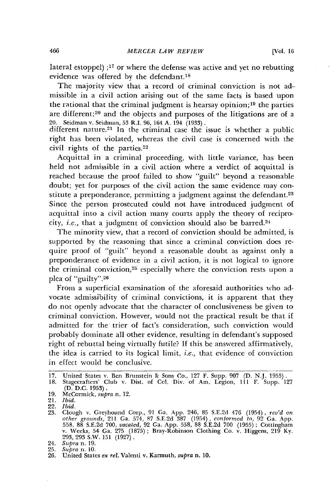lateral estoppel) **;17** or where the defense was active and yet no rebutting evidence was offered by the defendant.<sup>18</sup>

The majority view that a record of criminal conviction is not admissible in a civil action arising out of the same facts is based upon the rational that the criminal judgment is hearsay opinion; 19 the parties are different;<sup>20</sup> and the objects and purposes of the litigations are of a 20. Seidman v. Seidman, 53 R.I. 96, 164 A. 194 (1933). different nature.21 In the criminal case the issue is whether a public

right has been violated, whereas the civil case is concerned with the civil rights of the parties. <sup>22</sup>

Acquittal in a criminal proceeding, with little variance, has been held not admissible in a civil action where a verdict of acquittal is reached because the proof failed to show "guilt" beyond a reasonable doubt; yet for purposes of the civil action the same evidence may constitute a preponderance, permitting a judgment against the defendant.<sup>23</sup> Since the person prosecuted could not have introduced judgment of acquittal into a civil action many courts apply the theory of reciprocity, *i.e.,* that a judgment of conviction should also be barred.<sup>24</sup>

The minority view, that a record of conviction should be admitted, is supported by the reasoning that since a criminal conviction does require proof of "guilt" beyond a reasonable doubt as against only a preponderance of evidence in a civil action, it is not logical to ignore the criminal conviction,<sup>25</sup> especially where the conviction rests upon a plea of "guilty". <sup>26</sup>

From a superficial examination of the aforesaid authorities who advocate admissibility of criminal convictions, it is apparent that they do not openly advocate that the character of conclusiveness be given to criminal conviction. However, would not the practical result be that if admitted for the trier of fact's consideration, such conviction would probably dominate all other evidence, resulting in defendant's supposed right of rebuttal being virtually futile? **If** this be answered affirmatively, the idea is carried to its logical limit, *i.e.,* that evidence of conviction in effect would be conclusive.

<sup>17.</sup> United States **v.** Ben Brunstein **&c** Sons Co., 127 F. Snpp. 907 (D. N.J. 1955). 18. Stagecrafters' Club v. Dist. of Col. Div. of Am. Legion, 111 F. Supp. 127

<sup>(</sup>D. D.C. 1953). 19. McCormick, *supra* n. 12.

<sup>21.</sup> *Ibid.* 22. *Ibid.*

<sup>23.</sup> Clough V. Greyhound Corp., 91 Ga. App. 246, 85 S.E.2d 476 (1954), *rev'd on other grounds,* 211 Ga. 574, **87** S.E.2d 387 (1954), *conformed to,* 92 Ga. App. 558. 88 S.E.2d 700, *vacated,* 92 Ga. App. 558, 88 S.E.2d 700 (1955) ; Cottingham v. Weeks, 54 Ga. 275 (1875); Bray-Robinson Clothing Co. v. Higgens, 219 Ky. 293, 293 S.W. 151 (1927).

<sup>24.</sup> Supra n. 19.

<sup>25.</sup> Supra n. 10.

<sup>26.</sup> United States *ex rel.* Valenti v. Karmuth, *supra* n. 10.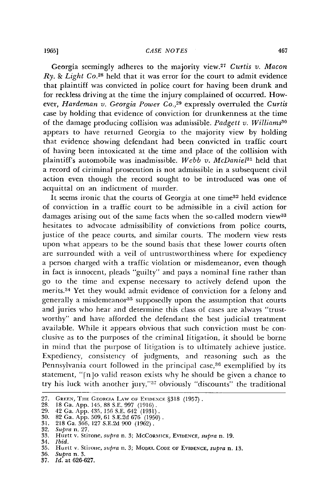Georgia seemingly adheres to the majority view.27 *Curtis v. Macon Ry. & Light* Co. 28 held that it was error for the court to admit evidence that plaintiff was convicted in police court for having been drunk and for reckless driving at the time the injury complained of occurred. However, *Hardeman v. Georgia Power Co.,29* expressly overruled the *Curtis* case by holding that evidence of conviction for drunkenness at the time of the damage producing collision was admissible. *Padgett v. Williams"0* appears to have returned Georgia to the majority view by holding that evidence showing defendant had been convicted in traffic court of having been intoxicated at the time and place of the collision with plaintiff's automobile was inadmissible. *Webb v. McDanie131* held that a record of ciriminal prosecution is not admissible in a subsequent civil action even though the record sought to be introduced was one of acquittal on an indictment of murder.

It seems ironic that the courts of Georgia at one time<sup>32</sup> held evidence of conviction in a traffic court to be admissible in a civil action for damages arising out of the same facts when the so-called modern view<sup>33</sup> hesitates to advocate admissibility of convictions from police courts, justice of the peace courts, and similar courts. The modern view rests upon what appears to be the sound basis that these lower courts often are surrounded with a veil of untrustworthiness where for expediency a person charged with a traffic violation or misdemeanor, even though in fact is innocent, pleads "guilty" and pays a nominal fine rather than go to the time and expense necessary to actively defend upon the merits.<sup>34</sup> Yet they would admit evidence of conviction for a felony and generally a misdemeanor<sup>35</sup> supposedly upon the assumption that courts and juries who hear and determine this class of cases are always "trustworthy" and have afforded the defendant the best judicial treatment available. While it appears obvious that such conviction must be conclusive as to the purposes of the criminal litigation, it should be borne in mind that the purpose of litigation is to ultimately achieve justice. Expediency, consistency of judgments, and reasoning such as the Pennsylvania court followed in the principal case,<sup>36</sup> exemplified by its statement, " $[n]$ o valid reason exists why he should be given a chance to try his luck with another jury,"37 obviously "discounts" the traditional

**1965]**

**<sup>27.</sup>** GREEN, TIlE **GEORCIA LAW** OF **EVIDENCE** §318 (1957) **.** 28. 18 Ga. App. 145, 88 **S.E. 997** (1916).

<sup>29. 42</sup> Ga. App. 435, 156 S.E. 642 **(1931).** 30. 82 Ga. App. 509, 61 S.E.2d 676 (1950). 31. 218 Ga. 366, 127 S.E.2d 900 (1962). 32. *Supra* n. 27.

<sup>33.</sup> Hurtt v. Stirone, *supra* n. 3; MCCORNTICK, **EVIDENCE,** *supra* n. 19.

<sup>34.</sup> *Ibid.*

<sup>35.</sup> Hurtt v. Stirone, *supra* n. 3; MODEL CODE OF EVIDENCE, *supra* n. 13.

<sup>36.</sup> *Supra* n. **3.** 37. *Id.* at 626-627.